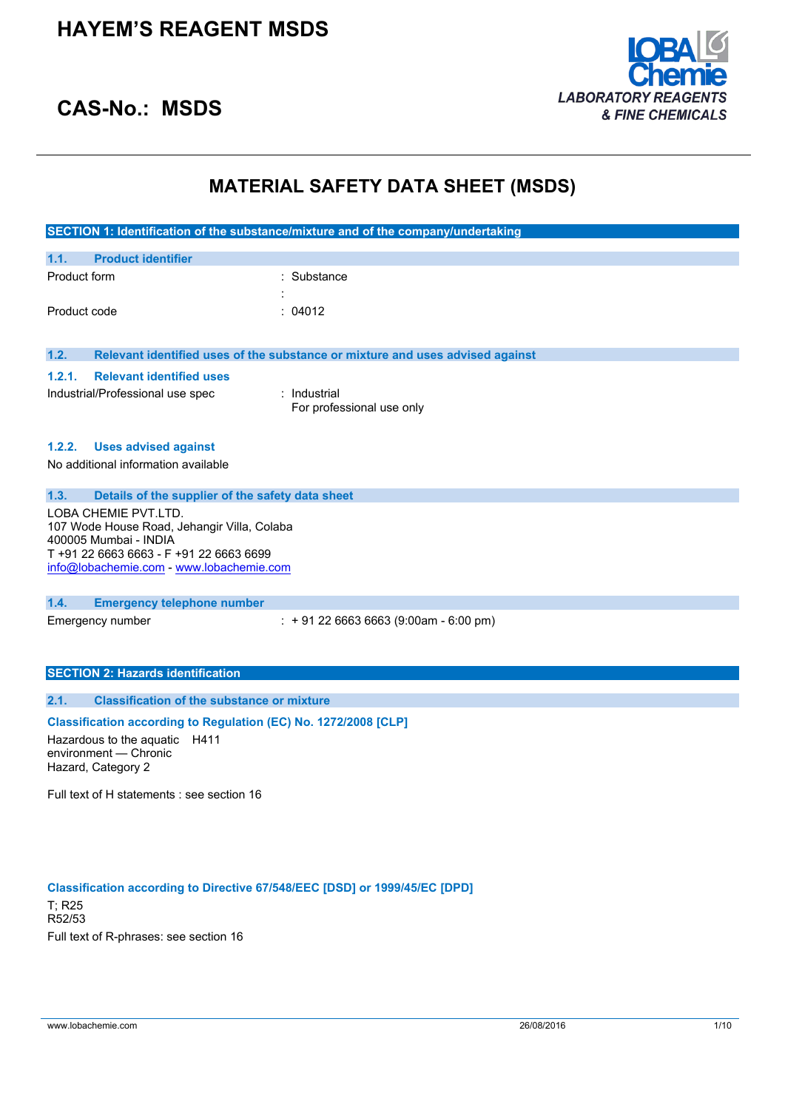

## **CAS-No.: MSDS**

## **MATERIAL SAFETY DATA SHEET (MSDS)**

|              |                                                                      | SECTION 1: Identification of the substance/mixture and of the company/undertaking |
|--------------|----------------------------------------------------------------------|-----------------------------------------------------------------------------------|
| 1.1.         | <b>Product identifier</b>                                            |                                                                                   |
| Product form |                                                                      | Substance                                                                         |
|              |                                                                      |                                                                                   |
| Product code |                                                                      | : 04012                                                                           |
|              |                                                                      |                                                                                   |
| 1.2.         |                                                                      | Relevant identified uses of the substance or mixture and uses advised against     |
| 1.2.1.       | <b>Relevant identified uses</b>                                      |                                                                                   |
|              | Industrial/Professional use spec                                     | : Industrial                                                                      |
|              |                                                                      | For professional use only                                                         |
|              |                                                                      |                                                                                   |
|              | 1.2.2. Uses advised against                                          |                                                                                   |
|              | No additional information available                                  |                                                                                   |
|              |                                                                      |                                                                                   |
| 1.3.         | Details of the supplier of the safety data sheet                     |                                                                                   |
|              | LOBA CHEMIE PVT.LTD.                                                 |                                                                                   |
|              | 107 Wode House Road, Jehangir Villa, Colaba<br>400005 Mumbai - INDIA |                                                                                   |
|              | T +91 22 6663 6663 - F +91 22 6663 6699                              |                                                                                   |
|              | info@lobachemie.com - www.lobachemie.com                             |                                                                                   |
|              |                                                                      |                                                                                   |
| 1.4.         | <b>Emergency telephone number</b>                                    |                                                                                   |
|              | Emergency number                                                     | $: +912266636663(9:00am - 6:00 pm)$                                               |
|              |                                                                      |                                                                                   |
|              |                                                                      |                                                                                   |
|              | <b>SECTION 2: Hazards identification</b>                             |                                                                                   |
|              |                                                                      |                                                                                   |

### **2.1. Classification of the substance or mixture**

### **Classification according to Regulation (EC) No. 1272/2008 [CLP]**

Hazardous to the aquatic H411 environment — Chronic Hazard, Category 2

Full text of H statements : see section 16

### **Classification according to Directive 67/548/EEC [DSD] or 1999/45/EC [DPD]**

T; R25 R52/53 Full text of R-phrases: see section 16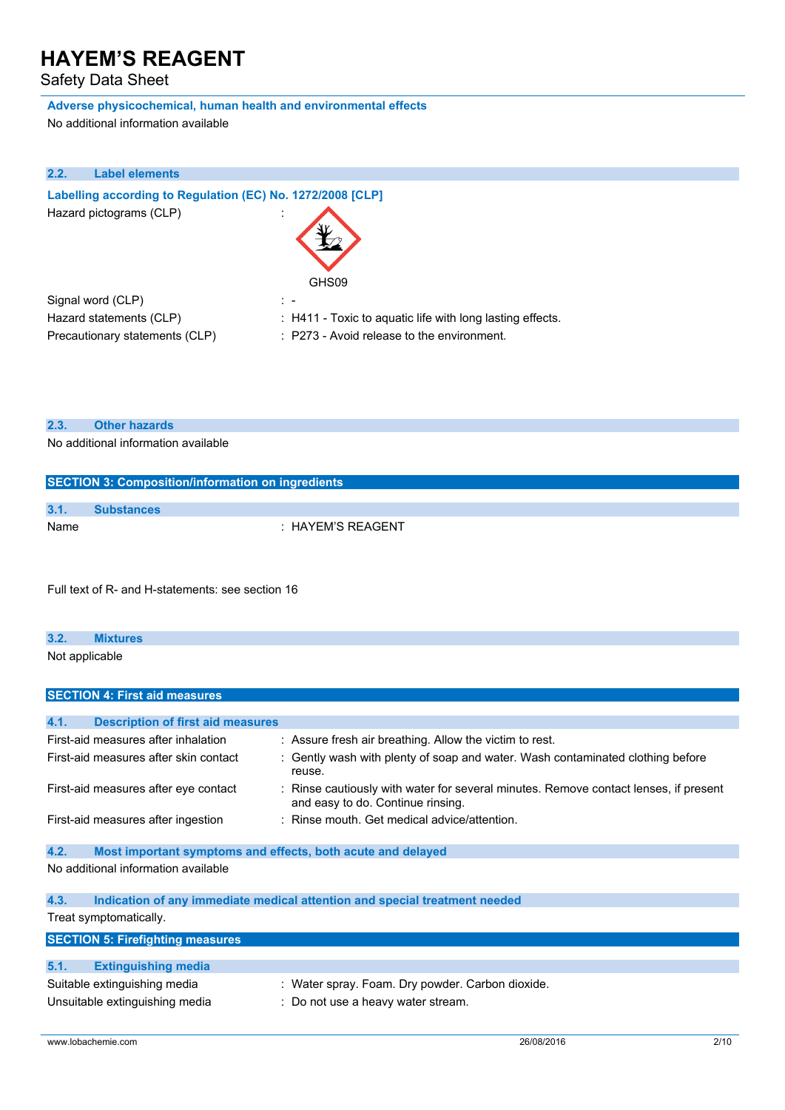Safety Data Sheet

## **Adverse physicochemical, human health and environmental effects**

No additional information available

| 2.2. | <b>Label elements</b>                                      |                                                                      |
|------|------------------------------------------------------------|----------------------------------------------------------------------|
|      | Labelling according to Regulation (EC) No. 1272/2008 [CLP] |                                                                      |
|      | Hazard pictograms (CLP)                                    |                                                                      |
|      |                                                            | GHS09                                                                |
|      | Signal word (CLP)                                          | $\sim 100$                                                           |
|      | Hazard statements (CLP)                                    | $\therefore$ H411 - Toxic to aguatic life with long lasting effects. |
|      | Precautionary statements (CLP)                             | : P273 - Avoid release to the environment.                           |

|  | 2.3 |  | <b>Other hazards</b> |  |
|--|-----|--|----------------------|--|
|--|-----|--|----------------------|--|

No additional information available

**SECTION 4: First aid measures**

| <b>SECTION 3: Composition/information on ingredients</b> |                       |  |
|----------------------------------------------------------|-----------------------|--|
| 3.1.                                                     |                       |  |
|                                                          | <b>Substances</b>     |  |
| Name                                                     | $\pm$ HAYEM'S REAGENT |  |

Full text of R- and H-statements: see section 16

| 3.2.           | <b>Mixtures</b> |
|----------------|-----------------|
| Not applicable |                 |
|                |                 |

| 4.1.<br><b>Description of first aid measures</b>                                   |                                                                                                                           |  |  |  |
|------------------------------------------------------------------------------------|---------------------------------------------------------------------------------------------------------------------------|--|--|--|
| First-aid measures after inhalation                                                | : Assure fresh air breathing. Allow the victim to rest.                                                                   |  |  |  |
| First-aid measures after skin contact                                              | Gently wash with plenty of soap and water. Wash contaminated clothing before<br>reuse.                                    |  |  |  |
| First-aid measures after eye contact                                               | : Rinse cautiously with water for several minutes. Remove contact lenses, if present<br>and easy to do. Continue rinsing. |  |  |  |
| First-aid measures after ingestion                                                 | $\therefore$ Rinse mouth. Get medical advice/attention.                                                                   |  |  |  |
|                                                                                    |                                                                                                                           |  |  |  |
| 4.2.<br>Most important symptoms and effects, both acute and delayed                |                                                                                                                           |  |  |  |
| No additional information available                                                |                                                                                                                           |  |  |  |
| 4.3.<br>Indication of any immediate medical attention and special treatment needed |                                                                                                                           |  |  |  |
| Treat symptomatically.                                                             |                                                                                                                           |  |  |  |
| <b>SECTION 5: Firefighting measures</b>                                            |                                                                                                                           |  |  |  |
|                                                                                    |                                                                                                                           |  |  |  |
| 5.1.<br><b>Extinguishing media</b>                                                 |                                                                                                                           |  |  |  |
| Suitable extinguishing media                                                       | : Water spray. Foam. Dry powder. Carbon dioxide.                                                                          |  |  |  |
| Unsuitable extinguishing media                                                     | : Do not use a heavy water stream.                                                                                        |  |  |  |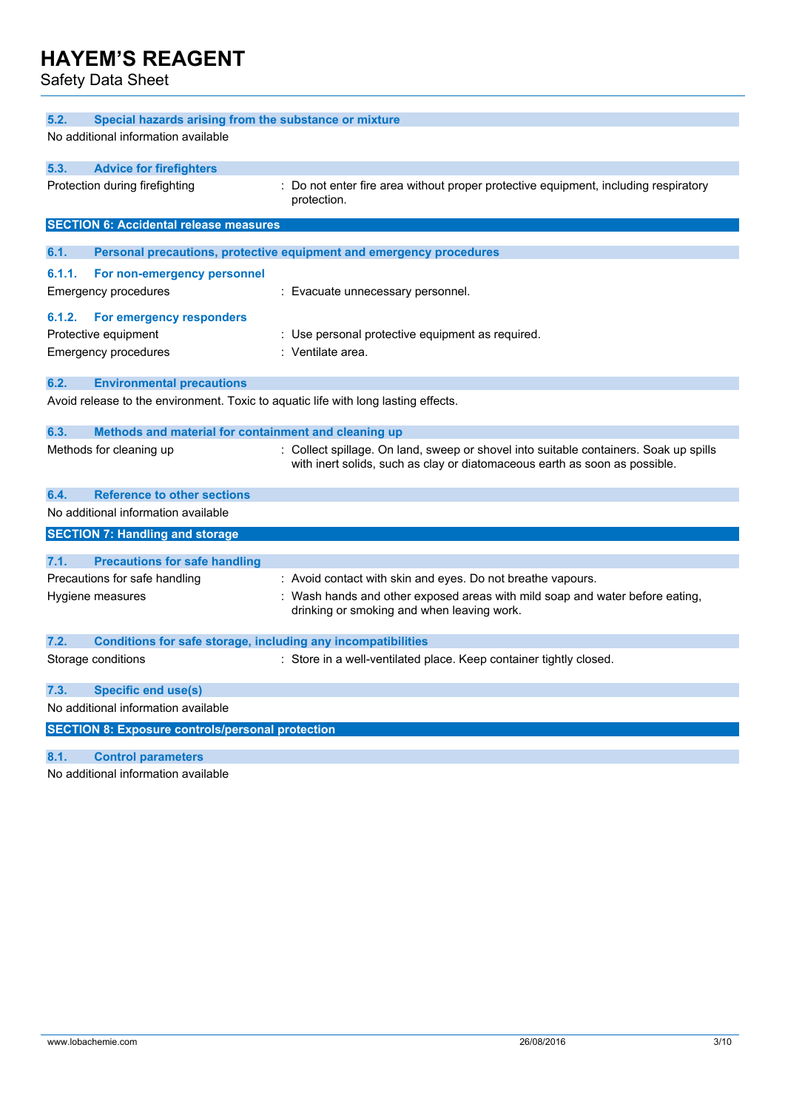Safety Data Sheet

| 5.2.<br>Special hazards arising from the substance or mixture                      |                                                                                                                                                                     |  |  |  |
|------------------------------------------------------------------------------------|---------------------------------------------------------------------------------------------------------------------------------------------------------------------|--|--|--|
| No additional information available                                                |                                                                                                                                                                     |  |  |  |
| 5.3.<br><b>Advice for firefighters</b>                                             |                                                                                                                                                                     |  |  |  |
| Protection during firefighting                                                     | Do not enter fire area without proper protective equipment, including respiratory<br>protection.                                                                    |  |  |  |
| <b>SECTION 6: Accidental release measures</b>                                      |                                                                                                                                                                     |  |  |  |
| 6.1.                                                                               | Personal precautions, protective equipment and emergency procedures                                                                                                 |  |  |  |
| 6.1.1.<br>For non-emergency personnel                                              |                                                                                                                                                                     |  |  |  |
| Emergency procedures                                                               | : Evacuate unnecessary personnel.                                                                                                                                   |  |  |  |
|                                                                                    |                                                                                                                                                                     |  |  |  |
| 6.1.2.<br>For emergency responders                                                 |                                                                                                                                                                     |  |  |  |
| Protective equipment                                                               | : Use personal protective equipment as required.                                                                                                                    |  |  |  |
| <b>Emergency procedures</b>                                                        | : Ventilate area.                                                                                                                                                   |  |  |  |
| 6.2.<br><b>Environmental precautions</b>                                           |                                                                                                                                                                     |  |  |  |
| Avoid release to the environment. Toxic to aquatic life with long lasting effects. |                                                                                                                                                                     |  |  |  |
| 6.3.<br>Methods and material for containment and cleaning up                       |                                                                                                                                                                     |  |  |  |
| Methods for cleaning up                                                            | : Collect spillage. On land, sweep or shovel into suitable containers. Soak up spills<br>with inert solids, such as clay or diatomaceous earth as soon as possible. |  |  |  |
| <b>Reference to other sections</b><br>6.4.                                         |                                                                                                                                                                     |  |  |  |
| No additional information available                                                |                                                                                                                                                                     |  |  |  |
| <b>SECTION 7: Handling and storage</b>                                             |                                                                                                                                                                     |  |  |  |
| <b>Precautions for safe handling</b><br>7.1.                                       |                                                                                                                                                                     |  |  |  |
| Precautions for safe handling                                                      | : Avoid contact with skin and eyes. Do not breathe vapours.                                                                                                         |  |  |  |
|                                                                                    |                                                                                                                                                                     |  |  |  |
| Hygiene measures                                                                   | : Wash hands and other exposed areas with mild soap and water before eating,<br>drinking or smoking and when leaving work.                                          |  |  |  |
| 7.2.<br><b>Conditions for safe storage, including any incompatibilities</b>        |                                                                                                                                                                     |  |  |  |
| Storage conditions                                                                 | : Store in a well-ventilated place. Keep container tightly closed.                                                                                                  |  |  |  |
| <b>Specific end use(s)</b><br>7.3.                                                 |                                                                                                                                                                     |  |  |  |
| No additional information available                                                |                                                                                                                                                                     |  |  |  |
| <b>SECTION 8: Exposure controls/personal protection</b>                            |                                                                                                                                                                     |  |  |  |
| <b>Control parameters</b><br>8.1.                                                  |                                                                                                                                                                     |  |  |  |

No additional information available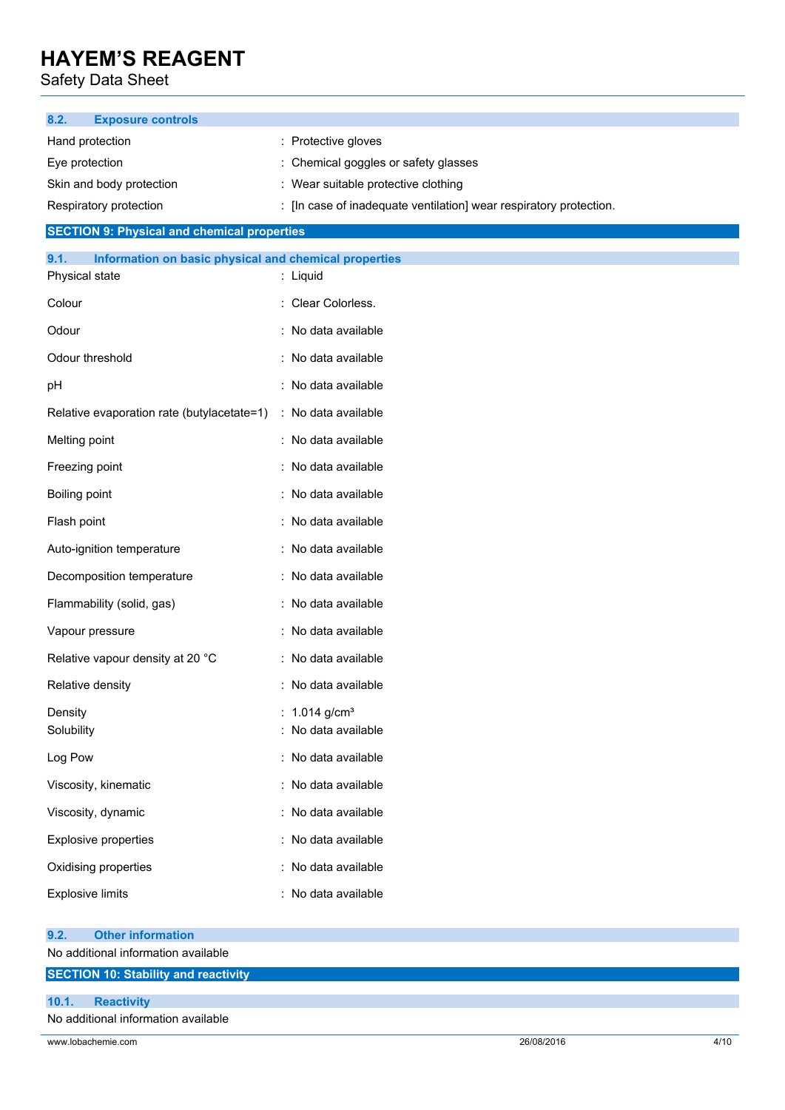Safety Data Sheet

| 8.2.<br><b>Exposure controls</b>                              |                                                                    |
|---------------------------------------------------------------|--------------------------------------------------------------------|
| Hand protection                                               | : Protective gloves                                                |
| Eye protection                                                | Chemical goggles or safety glasses                                 |
| Skin and body protection                                      | : Wear suitable protective clothing                                |
| Respiratory protection                                        | : [In case of inadequate ventilation] wear respiratory protection. |
| <b>SECTION 9: Physical and chemical properties</b>            |                                                                    |
| Information on basic physical and chemical properties<br>9.1. |                                                                    |
| Physical state                                                | : Liquid                                                           |
| Colour                                                        | : Clear Colorless.                                                 |
| Odour                                                         | : No data available                                                |
| Odour threshold                                               | : No data available                                                |
| рH                                                            | : No data available                                                |
| Relative evaporation rate (butylacetate=1)                    | : No data available                                                |
| Melting point                                                 | : No data available                                                |
| Freezing point                                                | : No data available                                                |
| Boiling point                                                 | : No data available                                                |
| Flash point                                                   | : No data available                                                |
| Auto-ignition temperature                                     | : No data available                                                |
| Decomposition temperature                                     | : No data available                                                |
| Flammability (solid, gas)                                     | : No data available                                                |
| Vapour pressure                                               | : No data available                                                |
| Relative vapour density at 20 °C                              | : No data available                                                |
| Relative density                                              | : No data available                                                |
| Density<br>Solubility                                         | : $1.014$ g/cm <sup>3</sup><br>: No data available                 |
| Log Pow                                                       | : No data available                                                |
| Viscosity, kinematic                                          | : No data available                                                |
| Viscosity, dynamic                                            | : No data available                                                |
| <b>Explosive properties</b>                                   | : No data available                                                |
| Oxidising properties                                          | No data available                                                  |
| <b>Explosive limits</b>                                       | : No data available                                                |
| <b>Other information</b><br>9.2.                              |                                                                    |
| No additional information available                           |                                                                    |
| <b>SECTION 10: Stability and reactivity</b>                   |                                                                    |

### **10.1. Reactivity**

No additional information available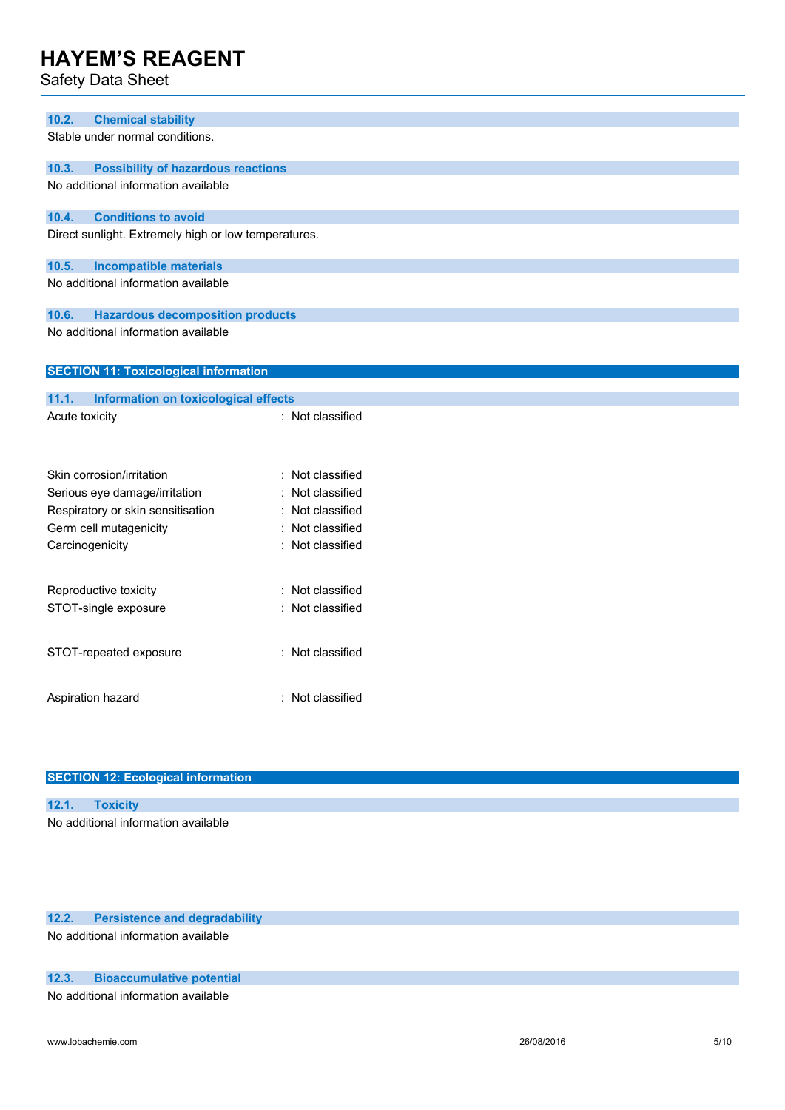Safety Data Sheet

| 10.2.<br><b>Chemical stability</b>                   |                  |  |  |
|------------------------------------------------------|------------------|--|--|
| Stable under normal conditions.                      |                  |  |  |
|                                                      |                  |  |  |
| 10.3.<br><b>Possibility of hazardous reactions</b>   |                  |  |  |
| No additional information available                  |                  |  |  |
|                                                      |                  |  |  |
| <b>Conditions to avoid</b><br>10.4.                  |                  |  |  |
| Direct sunlight. Extremely high or low temperatures. |                  |  |  |
|                                                      |                  |  |  |
| <b>Incompatible materials</b><br>10.5.               |                  |  |  |
| No additional information available                  |                  |  |  |
| <b>Hazardous decomposition products</b><br>10.6.     |                  |  |  |
| No additional information available                  |                  |  |  |
|                                                      |                  |  |  |
|                                                      |                  |  |  |
| <b>SECTION 11: Toxicological information</b>         |                  |  |  |
| 11.1.<br><b>Information on toxicological effects</b> |                  |  |  |
| Acute toxicity                                       | : Not classified |  |  |
|                                                      |                  |  |  |
|                                                      |                  |  |  |
|                                                      |                  |  |  |
| Skin corrosion/irritation                            | : Not classified |  |  |
| Serious eye damage/irritation                        | : Not classified |  |  |
| Respiratory or skin sensitisation                    | : Not classified |  |  |
| Germ cell mutagenicity                               | : Not classified |  |  |
| Carcinogenicity                                      | : Not classified |  |  |
|                                                      |                  |  |  |
| Reproductive toxicity                                | : Not classified |  |  |
| STOT-single exposure                                 | : Not classified |  |  |
|                                                      |                  |  |  |
|                                                      |                  |  |  |
| STOT-repeated exposure                               | : Not classified |  |  |
|                                                      |                  |  |  |
|                                                      |                  |  |  |
| Aspiration hazard                                    | : Not classified |  |  |
|                                                      |                  |  |  |

| <b>SECTION 12: Ecological information</b> |  |  |
|-------------------------------------------|--|--|
|                                           |  |  |
| 12.1. Toxicity                            |  |  |
| No additional information available       |  |  |
|                                           |  |  |

## **12.2. Persistence and degradability**

No additional information available

## **12.3. Bioaccumulative potential**

No additional information available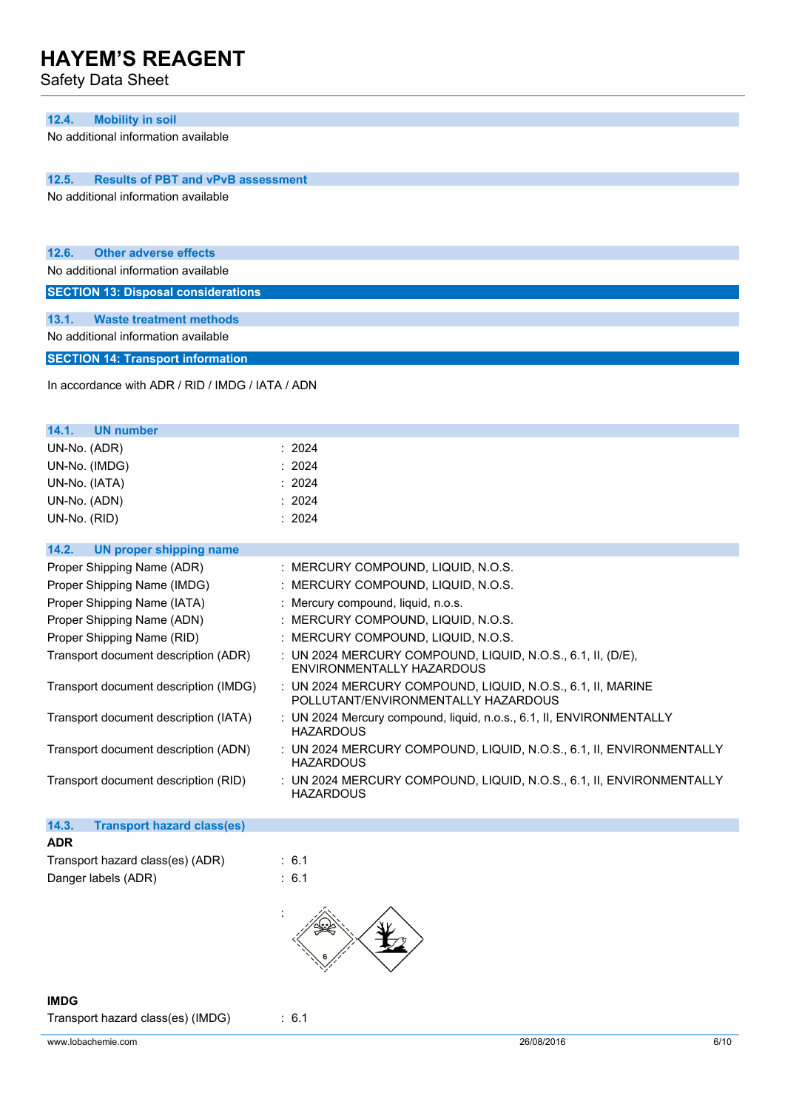Safety Data Sheet

### **12.4. Mobility in soil**

No additional information available

**12.5. Results of PBT and vPvB assessment**

No additional information available

| 12.6. | <b>Other adverse effects</b> |  |
|-------|------------------------------|--|
|       |                              |  |

No additional information available

**SECTION 13: Disposal considerations**

**13.1. Waste treatment methods**

No additional information available

**SECTION 14: Transport information**

In accordance with ADR / RID / IMDG / IATA / ADN

| 14.1.<br><b>UN number</b>                                 |                                                                                                    |
|-----------------------------------------------------------|----------------------------------------------------------------------------------------------------|
| UN-No. (ADR)                                              | : 2024                                                                                             |
| UN-No. (IMDG)                                             | : 2024                                                                                             |
| UN-No. (IATA)                                             | : 2024                                                                                             |
| UN-No. (ADN)                                              | : 2024                                                                                             |
| UN-No. (RID)                                              | : 2024                                                                                             |
|                                                           |                                                                                                    |
| UN proper shipping name<br>14.2.                          |                                                                                                    |
| Proper Shipping Name (ADR)                                | : MERCURY COMPOUND, LIQUID, N.O.S.                                                                 |
| Proper Shipping Name (IMDG)                               | : MERCURY COMPOUND, LIQUID, N.O.S.                                                                 |
| Proper Shipping Name (IATA)                               | : Mercury compound, liquid, n.o.s.                                                                 |
| Proper Shipping Name (ADN)                                | : MERCURY COMPOUND, LIQUID, N.O.S.                                                                 |
| Proper Shipping Name (RID)                                | : MERCURY COMPOUND, LIQUID, N.O.S.                                                                 |
| Transport document description (ADR)                      | : UN 2024 MERCURY COMPOUND, LIQUID, N.O.S., 6.1, II, (D/E),<br>ENVIRONMENTALLY HAZARDOUS           |
| Transport document description (IMDG)                     | : UN 2024 MERCURY COMPOUND, LIQUID, N.O.S., 6.1, II, MARINE<br>POLLUTANT/ENVIRONMENTALLY HAZARDOUS |
| Transport document description (IATA)                     | : UN 2024 Mercury compound, liquid, n.o.s., 6.1, II, ENVIRONMENTALLY<br><b>HAZARDOUS</b>           |
| $T_{\text{max}}$ and the sense sub-disc substitute (ADNI) | <b>INFORMATION OOMDOUTE LIQUE MOOD ALLEMATION FUTURES</b>                                          |

Transport document description (ADN) : UN 2024 MERCURY COMPOUND, LIQUID, N.O.S., 6.1, II, ENVIRONMENTALLY **HAZARDOUS** 

Transport document description (RID) : UN 2024 MERCURY COMPOUND, LIQUID, N.O.S., 6.1, II, ENVIRONMENTALLY HAZARDOUS

## **14.3. Transport hazard class(es) ADR**

| Transport hazard class(es) (ADR) | $\therefore$ 6.1 |
|----------------------------------|------------------|
| Danger labels (ADR)              | : 6.1            |



## **IMDG** Transport hazard class(es) (IMDG) : 6.1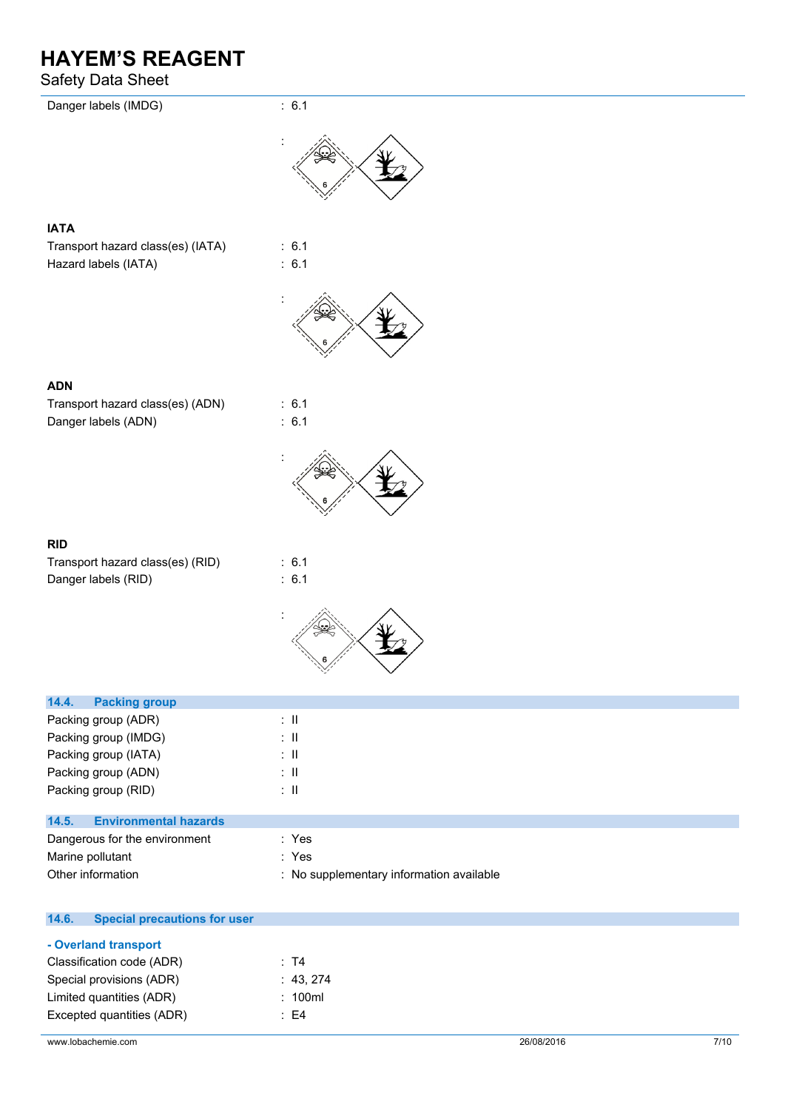## Safety Data Sheet

| Danger labels (IMDG)                  | : 6.1           |
|---------------------------------------|-----------------|
|                                       |                 |
| <b>IATA</b>                           |                 |
| Transport hazard class(es) (IATA)     | : 6.1           |
| Hazard labels (IATA)                  | : 6.1           |
|                                       |                 |
|                                       |                 |
| <b>ADN</b>                            |                 |
| Transport hazard class(es) (ADN)      | : 6.1           |
| Danger labels (ADN)                   | : 6.1           |
|                                       |                 |
|                                       |                 |
| <b>RID</b>                            |                 |
| Transport hazard class(es) (RID)      | : 6.1           |
| Danger labels (RID)                   | : 6.1           |
|                                       |                 |
|                                       |                 |
| 14.4.<br><b>Packing group</b>         |                 |
| Packing group (ADR)                   | $\div$ II       |
| Packing group (IMDG)                  | $\therefore$ II |
| Packing group (IATA)                  | $\div$ II       |
| Packing group (ADN)                   | $\lesssim 11$   |
| Packing group (RID)                   | $\div$ II       |
| 14.5.<br><b>Environmental hazards</b> |                 |

| Dangerous for the environment | : Yes                                    |
|-------------------------------|------------------------------------------|
| Marine pollutant              | : Yes                                    |
| Other information             | : No supplementary information available |

| <b>Special precautions for user</b> |  |  |
|-------------------------------------|--|--|
|                                     |  |  |
| Classification code (ADR)<br>∶ T4   |  |  |
| : 43,274                            |  |  |
| : 100ml                             |  |  |
| : F4                                |  |  |
|                                     |  |  |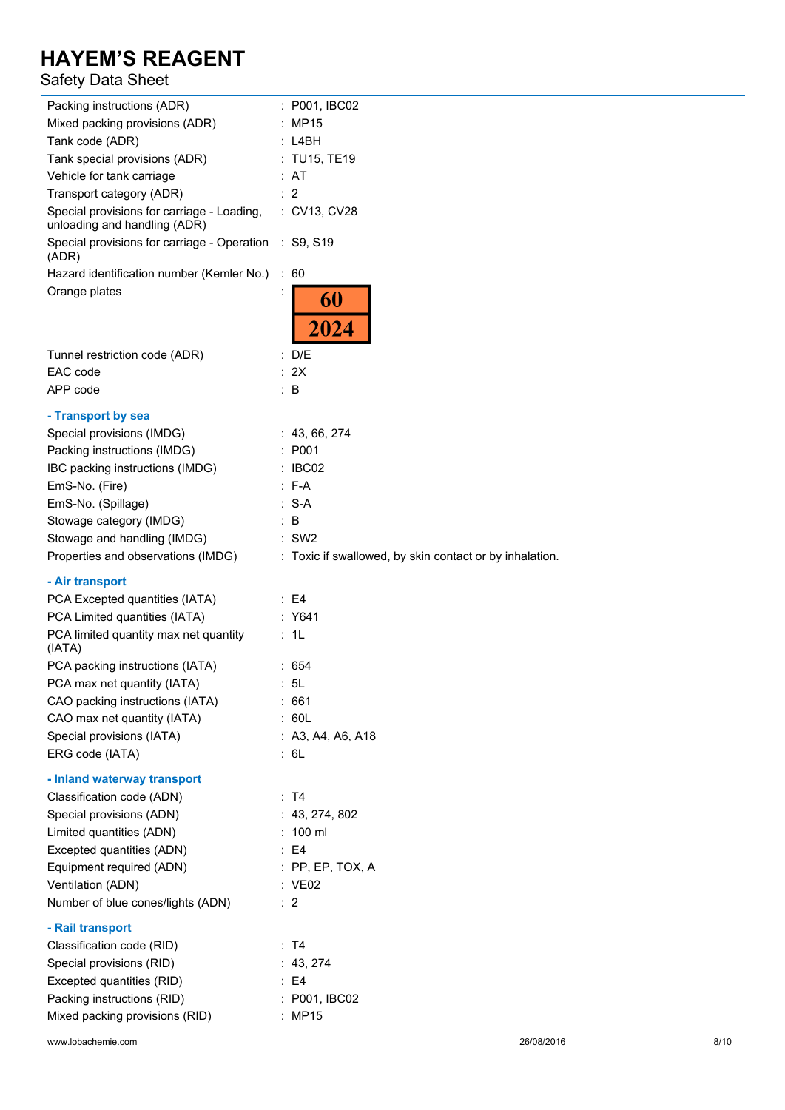## Safety Data Sheet

| Packing instructions (ADR)                                                 | : P001, IBC02                                           |
|----------------------------------------------------------------------------|---------------------------------------------------------|
| Mixed packing provisions (ADR)                                             | : MP15                                                  |
| Tank code (ADR)                                                            | : L4BH                                                  |
| Tank special provisions (ADR)                                              | : TU15, TE19                                            |
| Vehicle for tank carriage                                                  | : AT                                                    |
| Transport category (ADR)                                                   | $\therefore$ 2                                          |
| Special provisions for carriage - Loading,<br>unloading and handling (ADR) | : CV13, CV28                                            |
| Special provisions for carriage - Operation<br>(ADR)                       | : S9, S19                                               |
| Hazard identification number (Kemler No.)                                  | : 60                                                    |
| Orange plates                                                              | 60<br>2024                                              |
| Tunnel restriction code (ADR)                                              | : D/E                                                   |
| EAC code                                                                   | : 2X                                                    |
| APP code                                                                   | $\therefore$ B                                          |
| - Transport by sea                                                         |                                                         |
| Special provisions (IMDG)                                                  | : 43, 66, 274                                           |
| Packing instructions (IMDG)                                                | : P001                                                  |
| IBC packing instructions (IMDG)                                            | $\therefore$ IBC02                                      |
| EmS-No. (Fire)                                                             | $: F-A$                                                 |
| EmS-No. (Spillage)                                                         | $: S-A$                                                 |
| Stowage category (IMDG)                                                    | $\therefore$ B                                          |
| Stowage and handling (IMDG)                                                | $\therefore$ SW2                                        |
| Properties and observations (IMDG)                                         | : Toxic if swallowed, by skin contact or by inhalation. |
| - Air transport                                                            |                                                         |
| PCA Excepted quantities (IATA)                                             | $\therefore$ E4                                         |
| PCA Limited quantities (IATA)                                              | : Y641                                                  |
| PCA limited quantity max net quantity<br>(IATA)                            | : 1L                                                    |
| PCA packing instructions (IATA)                                            | : 654                                                   |
| PCA max net quantity (IATA)                                                | : 5L                                                    |
| CAO packing instructions (IATA)                                            | :661                                                    |
| CAO max net quantity (IATA)                                                | : 60L                                                   |
| Special provisions (IATA)                                                  | : A3, A4, A6, A18                                       |
| ERG code (IATA)                                                            | : 6L                                                    |
| - Inland waterway transport                                                |                                                         |
| Classification code (ADN)                                                  | : T4                                                    |
| Special provisions (ADN)                                                   | : 43, 274, 802                                          |
| Limited quantities (ADN)                                                   | $: 100 \text{ ml}$                                      |
| Excepted quantities (ADN)                                                  | $\therefore$ E4                                         |
| Equipment required (ADN)                                                   | $:$ PP, EP, TOX, A                                      |
| Ventilation (ADN)                                                          | : VE02                                                  |
| Number of blue cones/lights (ADN)                                          | : 2                                                     |
| - Rail transport                                                           |                                                         |
| Classification code (RID)                                                  | : T4                                                    |
| Special provisions (RID)                                                   | : 43, 274                                               |
| Excepted quantities (RID)                                                  | : E4                                                    |
| Packing instructions (RID)                                                 | : P001, IBC02                                           |
| Mixed packing provisions (RID)                                             | : MP15                                                  |
|                                                                            |                                                         |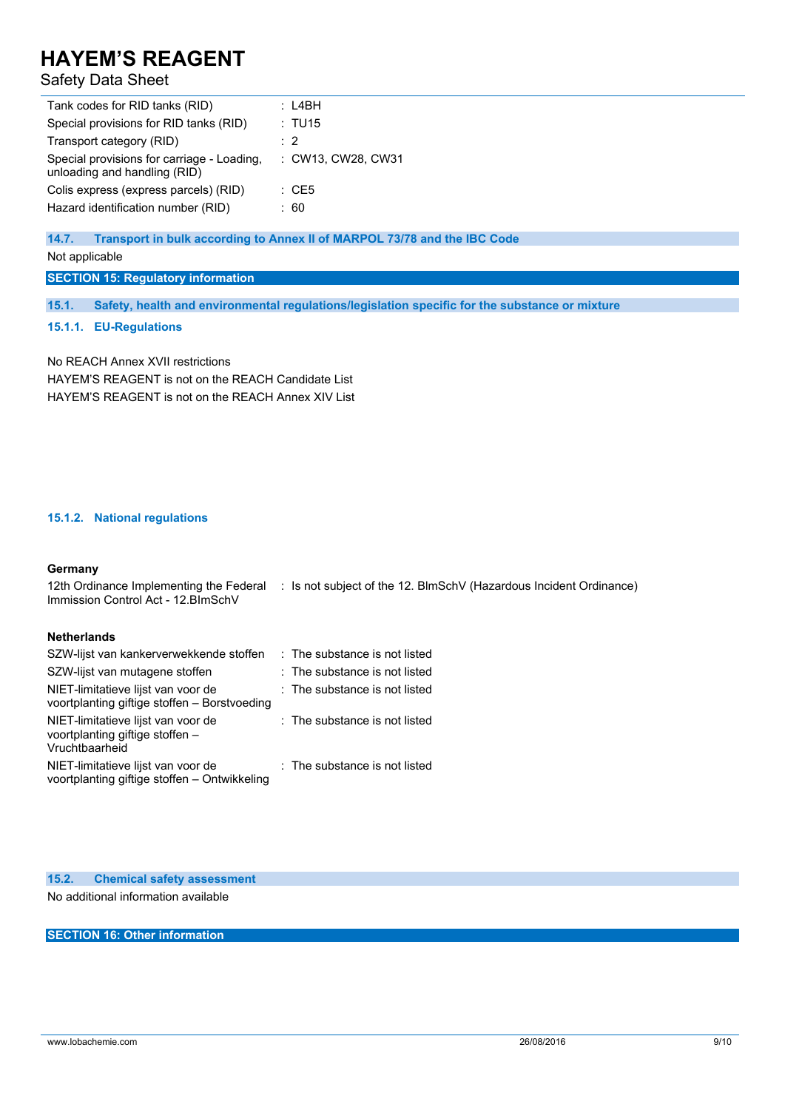## Safety Data Sheet

| Tank codes for RID tanks (RID)                                             | : L4BH             |
|----------------------------------------------------------------------------|--------------------|
| Special provisions for RID tanks (RID)                                     | : TU15             |
| Transport category (RID)                                                   | $\therefore$ 2     |
| Special provisions for carriage - Loading,<br>unloading and handling (RID) | : CW13, CW28, CW31 |
| Colis express (express parcels) (RID)                                      | $\therefore$ CE5   |
| Hazard identification number (RID)                                         | : 60               |

**14.7. Transport in bulk according to Annex II of MARPOL 73/78 and the IBC Code**

Not applicable

## **SECTION 15: Regulatory information**

**15.1. Safety, health and environmental regulations/legislation specific for the substance or mixture**

#### **15.1.1. EU-Regulations**

No REACH Annex XVII restrictions HAYEM'S REAGENT is not on the REACH Candidate List HAYEM'S REAGENT is not on the REACH Annex XIV List

### **15.1.2. National regulations**

### **Germany**

12th Ordinance Implementing the Federal : Is not subject of the 12. BlmSchV (Hazardous Incident Ordinance) Immission Control Act - 12.BImSchV

### **Netherlands**

| SZW-lijst van kankerverwekkende stoffen                                                 | : The substance is not listed |
|-----------------------------------------------------------------------------------------|-------------------------------|
| SZW-lijst van mutagene stoffen                                                          | : The substance is not listed |
| NIET-limitatieve lijst van voor de<br>voortplanting giftige stoffen - Borstvoeding      | : The substance is not listed |
| NIET-limitatieve lijst van voor de<br>voortplanting giftige stoffen -<br>Vruchtbaarheid | : The substance is not listed |
| NIET-limitatieve lijst van voor de<br>voortplanting giftige stoffen - Ontwikkeling      | : The substance is not listed |

**15.2. Chemical safety assessment**

No additional information available

**SECTION 16: Other information**